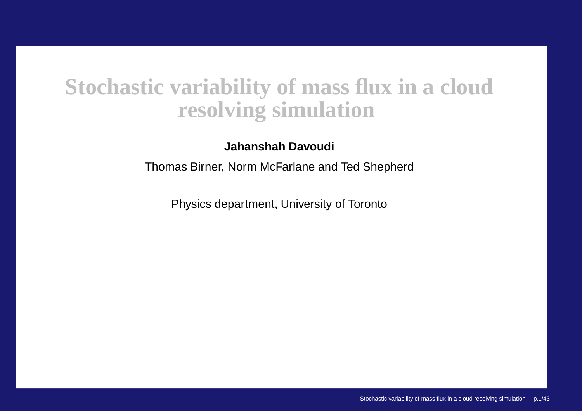# **Stochastic variability of mass flux in <sup>a</sup> cloudresolving simulation**

**Jahanshah Davoudi**

Thomas Birner, Norm McFarlane and Ted Shepherd

Physics department, University of Toronto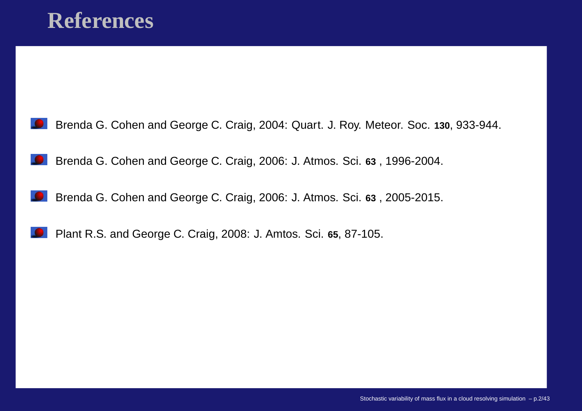



Brenda G. Cohen and George C. Craig, 2006: J. Atmos. Sci. **<sup>63</sup>** , 1996-2004.

Brenda G. Cohen and George C. Craig, 2006: J. Atmos. Sci. **<sup>63</sup>** , 2005-2015.

Plant R.S. and George C. Craig, 2008: J. Amtos. Sci. **<sup>65</sup>**, 87-105.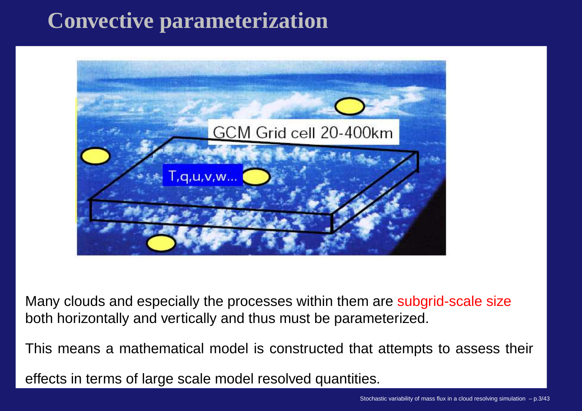# **Convective parameterization**



Many clouds and especially the processes within them are subgrid-scale size both horizontally and vertically and thus must be parameterized.

This means <sup>a</sup> mathematical model is constructed that attempts to assess their

effects in terms of large scale model resolved quantities.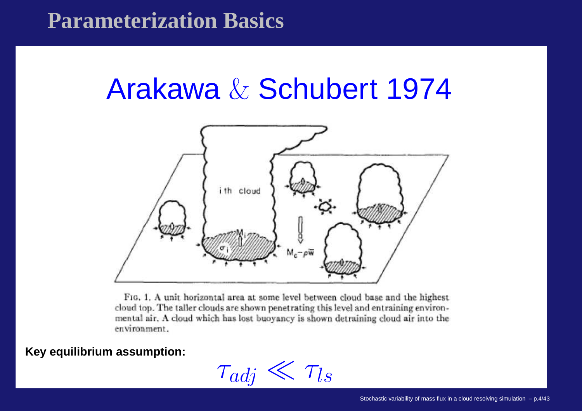# **Parameterization Basics**

# Arakawa & Schubert 1974



FIG. 1. A unit horizontal area at some level between cloud base and the highest cloud top. The taller clouds are shown penetrating this level and entraining environmental air, A cloud which has lost buoyancy is shown detraining cloud air into the environment.

**Key equilibrium assumption:**

 $\tau_{adj} \ll \tau_{ls}$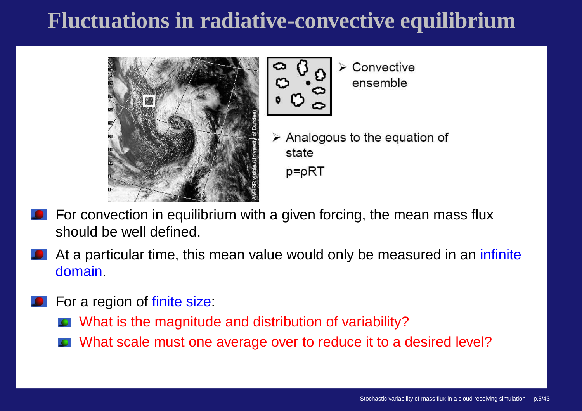# **Fluctuations in radiative-convective equilibrium**



- 
- $\triangleright$  Convective ensemble
- $\triangleright$  Analogous to the equation of state  $p = \rho RT$
- For convection in equilibrium with <sup>a</sup> given forcing, the mean mass flux should be well defined.
- At a particular time, this mean value would only be measured in an infinite domain.
- For <sup>a</sup> region of finite size:
	- What is the magnitude and distribution of variability?
	- What scale must one average over to reduce it to <sup>a</sup> desired level?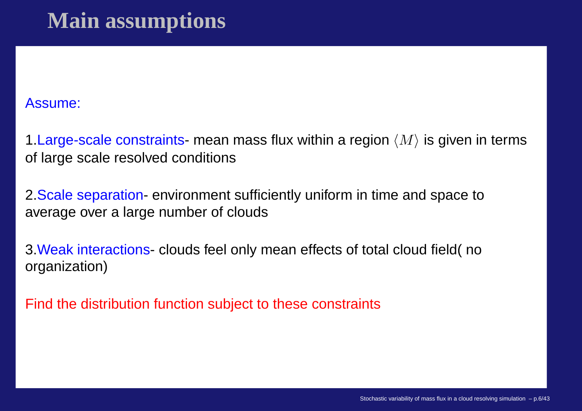# **Main assumptions**

Assume:

1 Large-scale constraints- mean mass flux within a region  $\langle M\rangle$  is given in terms of large scale resolved conditions

2.Scale separation- environment sufficiently uniform in time and space toaverage over <sup>a</sup> large number of clouds

3.Weak interactions- clouds feel only mean effects of total cloud field( noorganization)

Find the distribution function subject to these constraints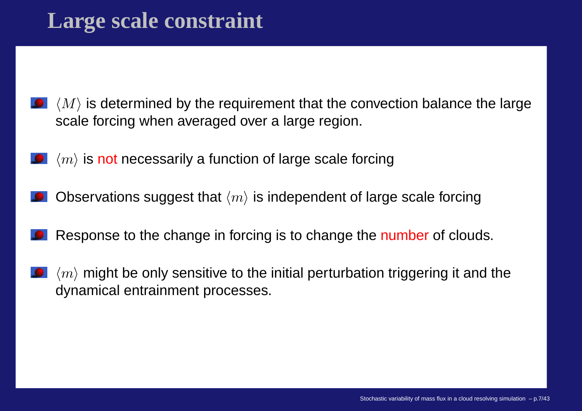- $\langle M\rangle$  is determined by the requirement that the convection balance the large scale forcing when averaged over <sup>a</sup> large region.
- $\langle m \rangle$  is not necessarily a function of large scale forcing
- Observations suggest that  $\langle m \rangle$  is independent of large scale forcing
- Response to the change in forcing is to change the <mark>number</mark> of clouds.
- $\langle m \rangle$  might be only sensitive to the initial perturbation triggering it and the dynamical entrainment processes.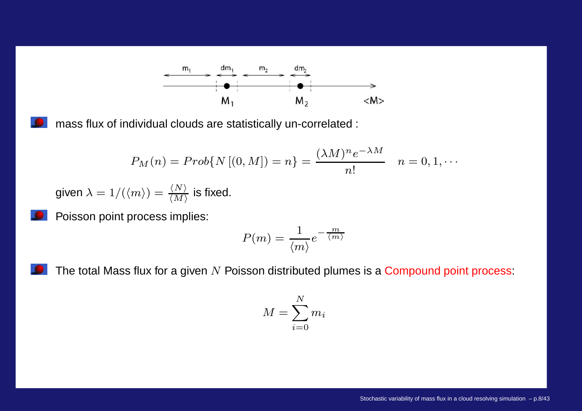

mass flux of individual clouds are statistically un-correlated :

$$
P_M(n) = Prob\{N[(0, M]) = n\} = \frac{(\lambda M)^n e^{-\lambda M}}{n!} \quad n = 0, 1, \cdots
$$

given  $\lambda = 1/(\langle m \rangle) = \frac{\langle N \rangle}{\langle M \rangle}$  is fixed.

Poisson point process implies:

$$
P(m)=\frac{1}{\langle m\rangle}e^{-\frac{m}{\langle m\rangle}}
$$

The total Mass flux for a given  $N$  Poisson distributed plumes is a  ${\sf Compound}$  point process:

$$
M = \sum_{i=0}^{N} m_i
$$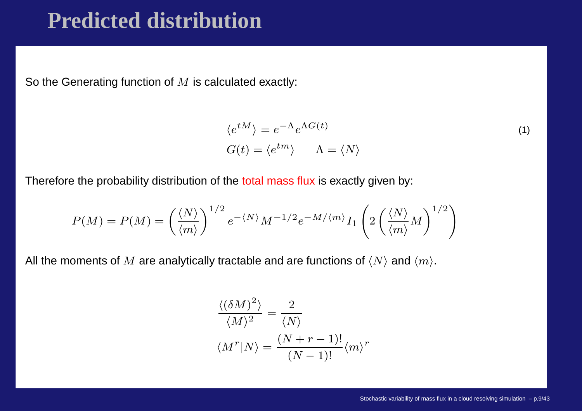# **Predicted distribution**

So the Generating function of  $M$  is calculated exactly:<br>

$$
\langle e^{tM} \rangle = e^{-\Lambda} e^{\Lambda G(t)} G(t) = \langle e^{tm} \rangle \qquad \Lambda = \langle N \rangle
$$
 (1)

Therefore the probability distribution of the <mark>total mass flux</mark> is exactly given by:

$$
P(M) = P(M) = \left(\frac{\langle N \rangle}{\langle m \rangle}\right)^{1/2} e^{-\langle N \rangle} M^{-1/2} e^{-M/\langle m \rangle} I_1 \left(2 \left(\frac{\langle N \rangle}{\langle m \rangle} M\right)^{1/2}\right)
$$

All the moments of  $M$  are analytically tractable and are functions of  $\langle N\rangle$  and  $\langle m\rangle.$ 

$$
\frac{\langle (\delta M)^2 \rangle}{\langle M \rangle^2} = \frac{2}{\langle N \rangle}
$$

$$
\langle M^r | N \rangle = \frac{(N+r-1)!}{(N-1)!} \langle m \rangle^r
$$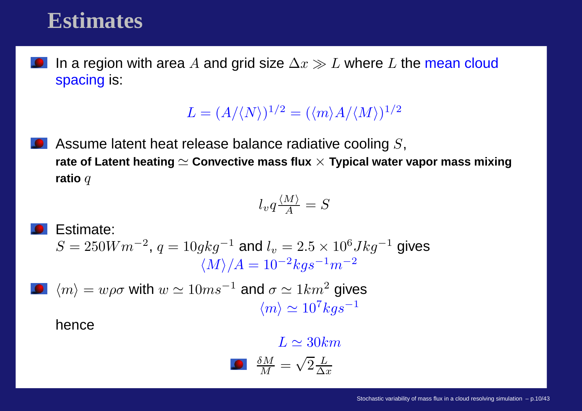### **Estimates**

In a region with area  $A$  and grid size  $\Delta x \gg L$  where  $L$  the mean cloud<br>spacing is: spacing is:

 $L = (A/\langle N\rangle)^{1/2} = (\langle m\rangle A/\langle M\rangle)^{1/2}$ 

Assume latent heat release balance radiative cooling  $S,$ rate of Latent heating  $\simeq$  Convective mass flux  $\times$  Typical water vapor mass mixing<br>" **ratio** <sup>q</sup>

$$
l_v q \frac{\langle M \rangle}{A} = S
$$

**S** Estimate:  
\n
$$
S = 250Wm^{-2}, q = 10gkg^{-1} \text{ and } l_v = 2.5 \times 10^6 Jkg^{-1} \text{ gives}
$$
\n
$$
\langle M \rangle / A = 10^{-2}kg s^{-1} m^{-2}
$$
\n**•**\n
$$
\langle m \rangle = w\rho\sigma \text{ with } w \simeq 10ms^{-1} \text{ and } \sigma \simeq 1km^2 \text{ gives}
$$
\n
$$
\langle m \rangle \simeq 10^7 kg s^{-1}
$$
\nhence

$$
L \simeq 30km
$$

$$
\frac{\delta M}{M} = \sqrt{2} \frac{L}{\Delta x}
$$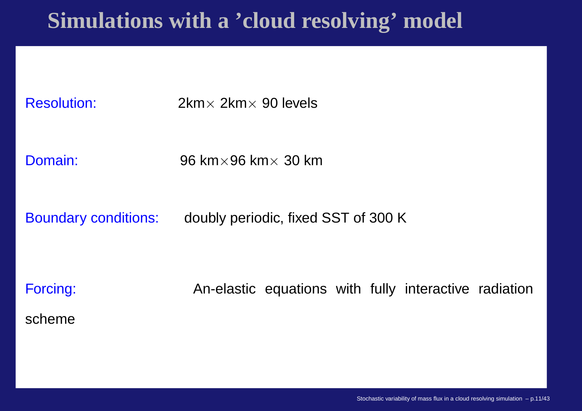# **Simulations with <sup>a</sup> 'cloud resolving' model**

Resolution:

 $2km \times 2km \times 90$  levels

Domain:

 $\cdot$  96 km $\times$  96 km $\times$  30 km

Boundary conditions: doubly periodic, fixed SST of 300 K

Forcing: An-elastic equations with fully interactive radiationscheme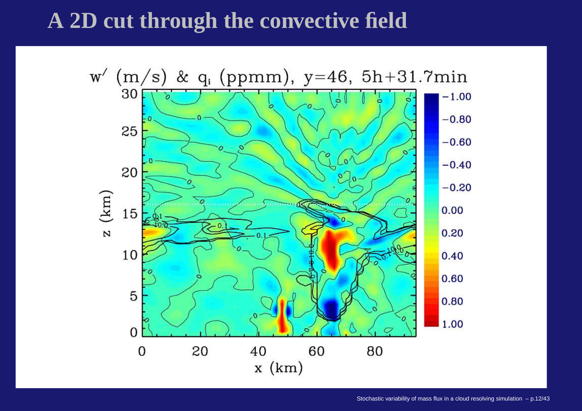# **A 2D cut through the convective field**

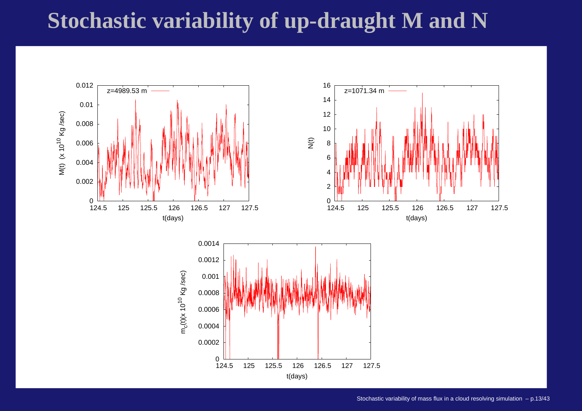# **Stochastic variability of up-draught M and N**

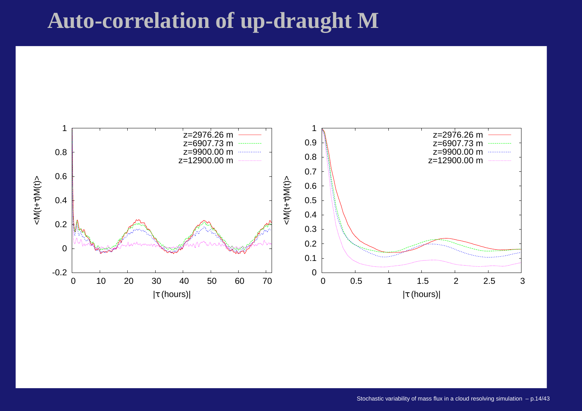# **Auto-correlation of up-draught M**

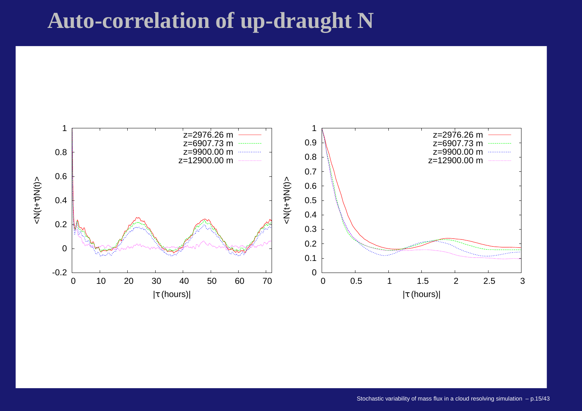# **Auto-correlation of up-draught N**

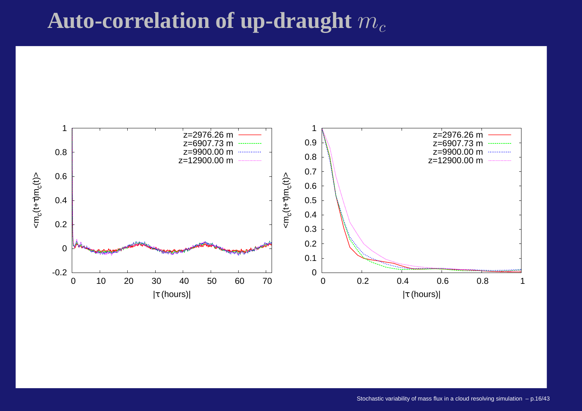# Auto-correlation of up-draught  $m_c$

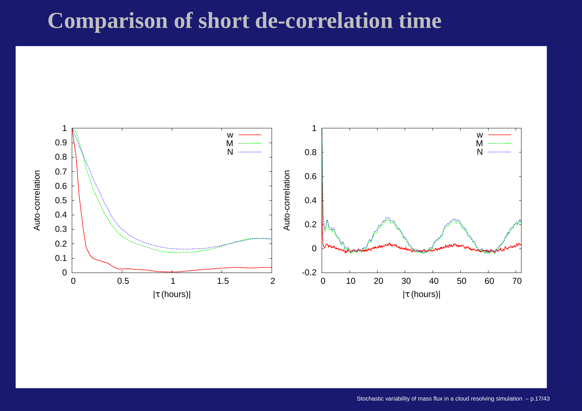# **Comparison of short de-correlation time**

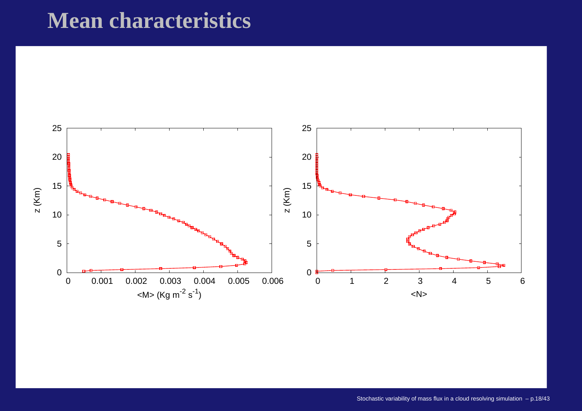# **Mean characteristics**

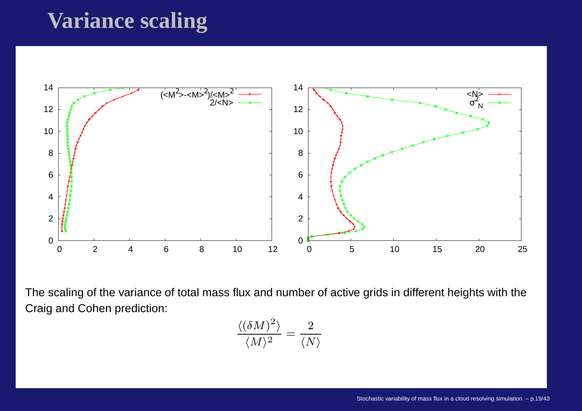# **Variance scaling**



The scaling of the variance of total mass flux and number of active grids in different heights with theCraig and Cohen prediction:

$$
\frac{\langle (\delta M)^2 \rangle}{\langle M \rangle^2} = \frac{2}{\langle N \rangle}
$$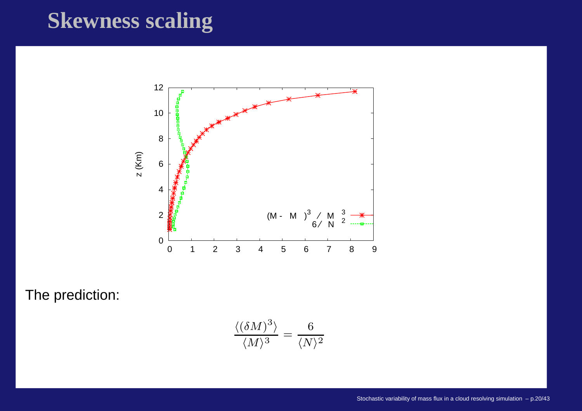# **Skewness scaling**



The prediction:

$$
\frac{\langle (\delta M)^3 \rangle}{\langle M \rangle^3} = \frac{6}{\langle N \rangle^2}
$$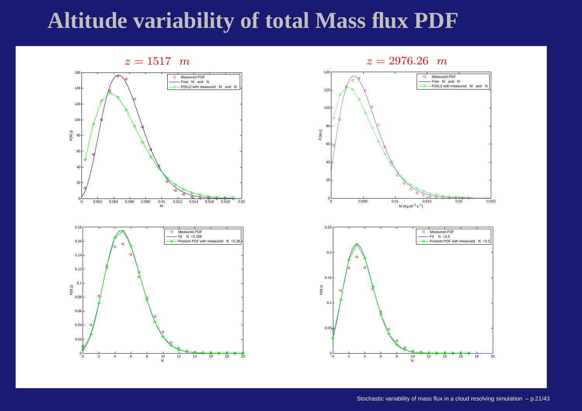### **Altitude variability of total Mass flux PDF**

 $z = 1517$  m





 $z = 2976.26$  m



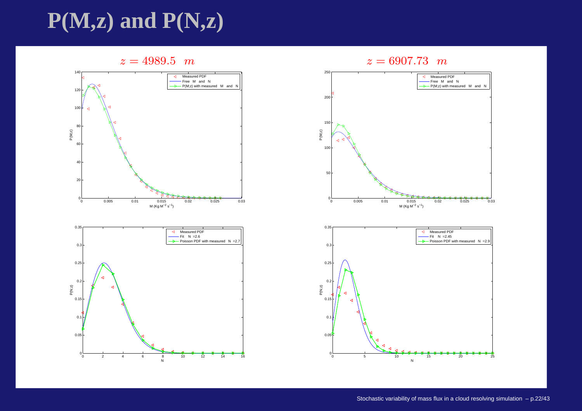# **P(M,z) and P(N,z)**

 $z = 4989.5$  m





 $z = 6907.73$  m



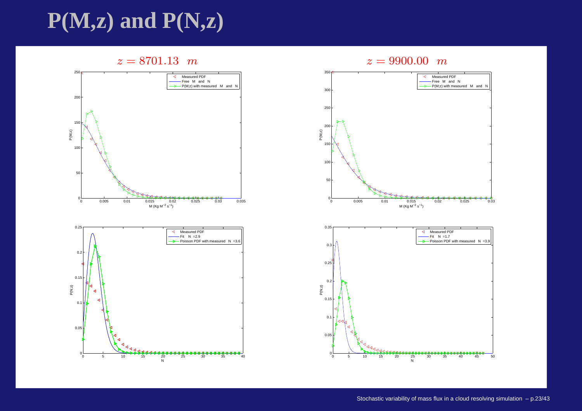# **P(M,z) and P(N,z)**

#### $z = 8701.13$  m



<sup>5</sup> <sup>10</sup> <sup>15</sup> <sup>20</sup> <sup>25</sup> <sup>30</sup> <sup>35</sup> <sup>40</sup>

 $\begin{array}{c}\n 20 \\
20 \\
\hline\n N\n \end{array}$ 

 $\Gamma_0$ 

 $0.05$ 

 $0.1$ 





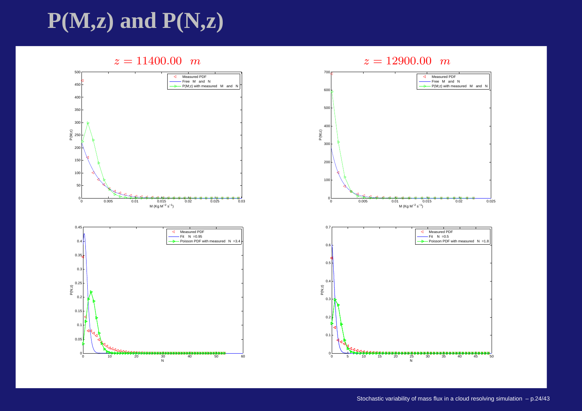# **P(M,z) and P(N,z)**

#### $z = 11400.00 \; m$





#### $z = 12900.00$  m

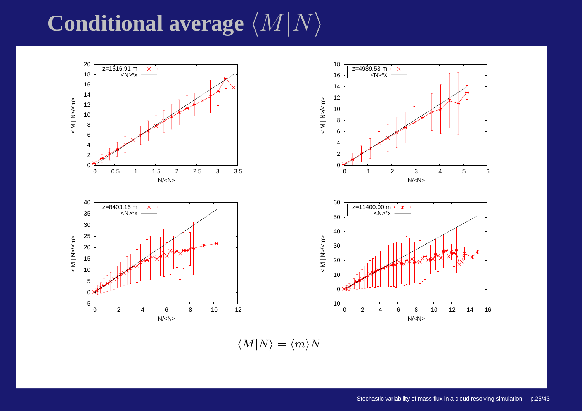# $\mathbf C$ onditional average  $\langle M|N\rangle$



 $\langle M|N\rangle = \langle m\rangle N$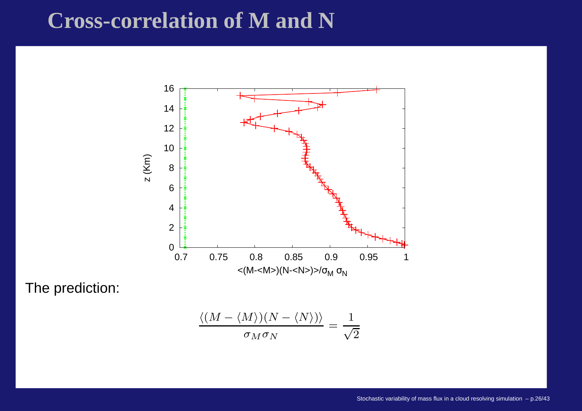# **Cross-correlation of M and N**



The prediction:

$$
\frac{\langle (M-\langle M\rangle)(N-\langle N\rangle)\rangle}{\sigma_M\sigma_N}=\frac{1}{\sqrt{2}}
$$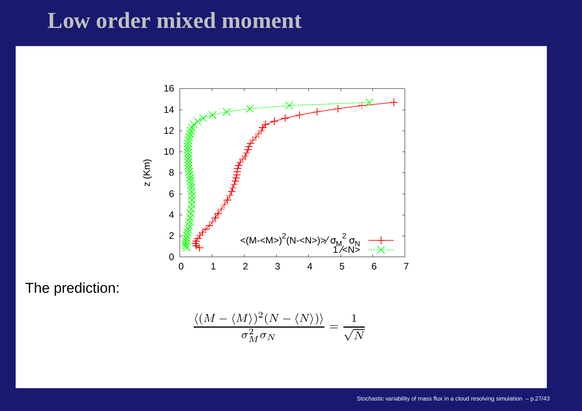# **Low order mixed moment**



The prediction:

$$
\frac{\langle (M-\langle M\rangle)^2(N-\langle N\rangle)\rangle}{\sigma_M^2\sigma_N}=\frac{1}{\sqrt{N}}
$$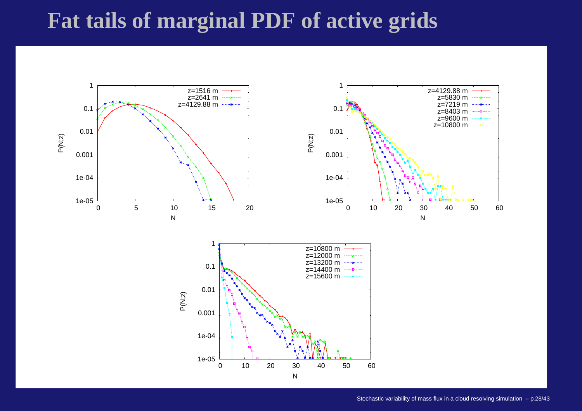# **Fat tails of marginal PDF of active grids**

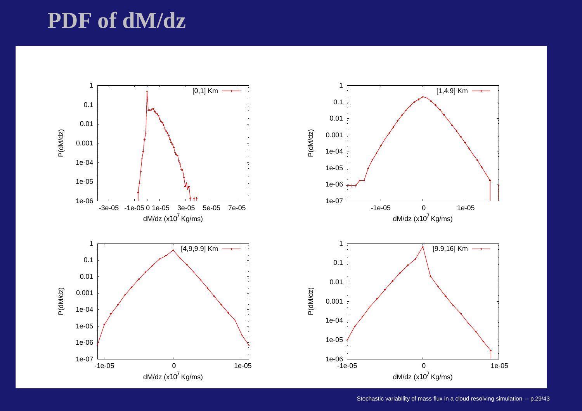# **PDF of dM/dz**

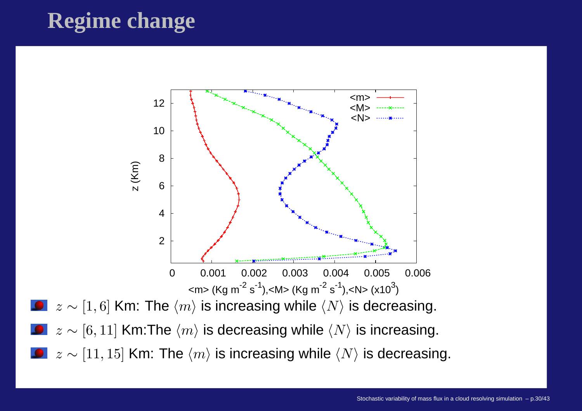# **Regime change**

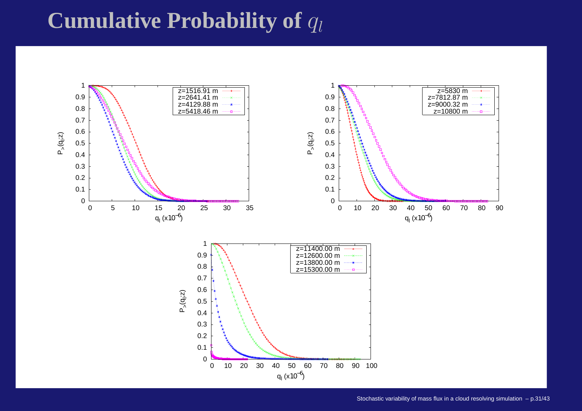# ${\bf Cumulative\ Probability\ of\ }q_l$

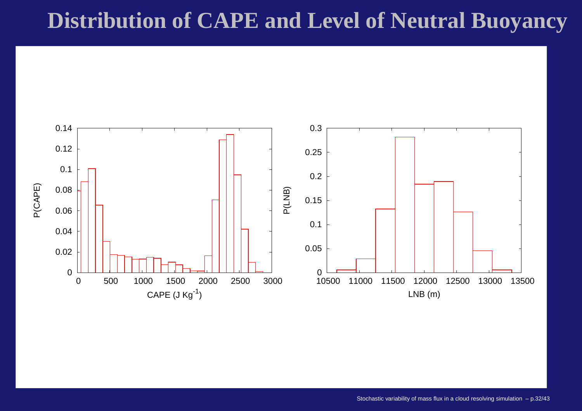# **Distribution of CAPE and Level of Neutral Buoyancy**

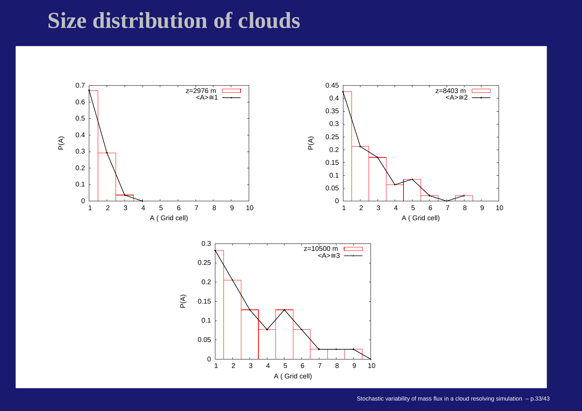# **Size distribution of clouds**

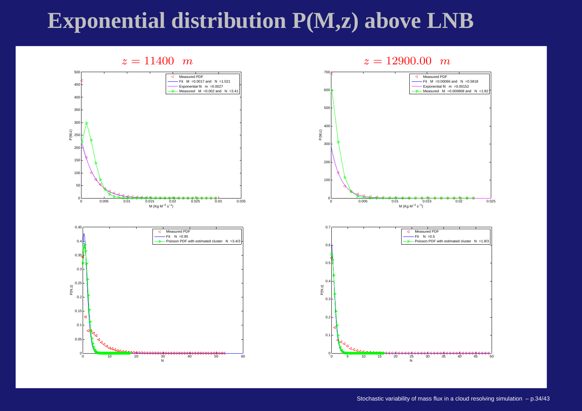# **Exponential distribution P(M,z) above LNB**

#### $z = 11400 \; m$



#### $z = 12900.00$  m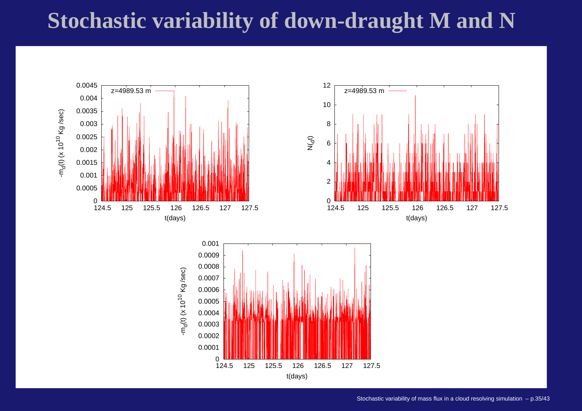# **Stochastic variability of down-draught M and N**

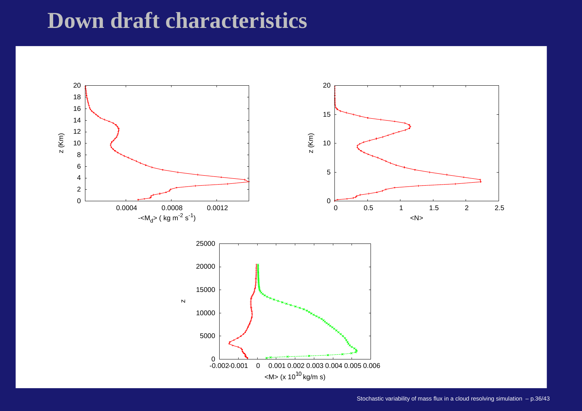# **Down draft characteristics**

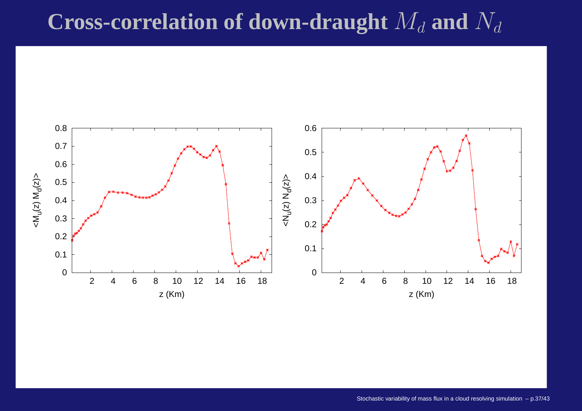# **Cross-correlation of down-draught**  $M_d$  and  $N_d$

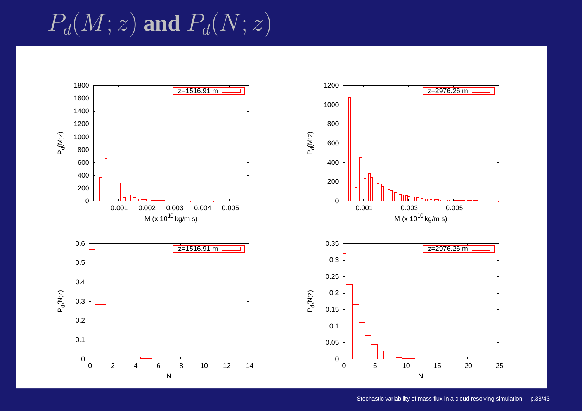$P_d(M;z)$  and  $P_d(N;z)$ 

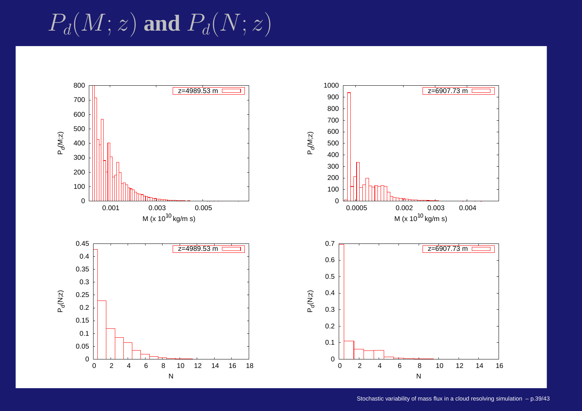$P_d(M;z)$  and  $P_d(N;z)$ 

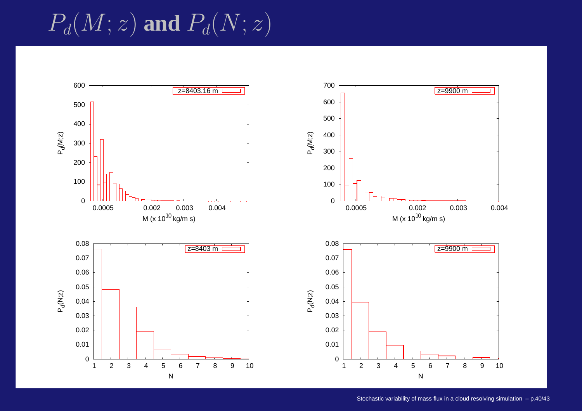$P_d(M;z)$  and  $P_d(N;z)$ 

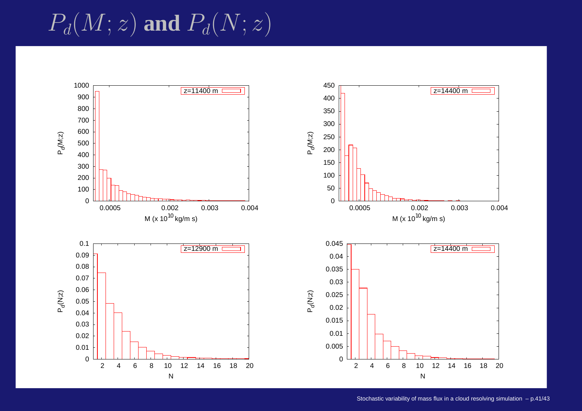$P_d(M;z)$  and  $P_d(N;z)$ 

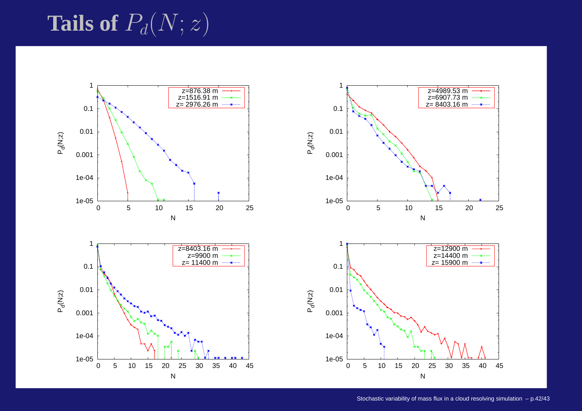# Tails of  $P_d(N;z)$